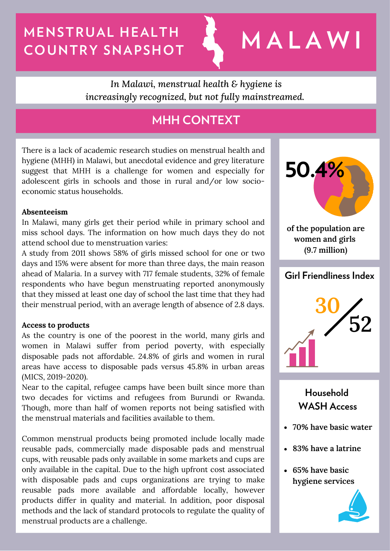# **MENSTRUAL HEALTH COUNTRY SNAPSHOT M A L A W I**

*In Malawi, menstrual health & hygiene is increasingly recognized, but not fully mainstreamed.*

# **MHH CONTEXT**

There is a lack of academic research studies on menstrual health and hygiene (MHH) in Malawi, but anecdotal evidence and grey literature suggest that MHH is a challenge for women and especially for adolescent girls in schools and those in rural and/or low socioeconomic status households.

## **Absenteeism**

In Malawi, many girls get their period while in primary school and miss school days. The information on how much days they do not attend school due to menstruation varies:

A study from 2011 shows 58% of girls missed school for one or two days and 15% were absent for more than three days, the main reason ahead of Malaria. In a survey with 717 female students, 32% of female respondents who have begun menstruating reported anonymously that they missed at least one day of school the last time that they had their menstrual period, with an average length of absence of 2.8 days.

## **Access to products**

As the country is one of the poorest in the world, many girls and women in Malawi suffer from period poverty, with especially disposable pads not affordable. 24.8% of girls and women in rural areas have access to disposable pads versus 45.8% in urban areas (MICS, 2019-2020).

Near to the capital, refugee camps have been built since more than two decades for victims and refugees from Burundi or Rwanda. Though, more than half of women reports not being satisfied with the menstrual materials and facilities available to them.

Common menstrual products being promoted include locally made reusable pads, commercially made disposable pads and menstrual cups, with reusable pads only available in some markets and cups are only available in the capital. Due to the high upfront cost associated with disposable pads and cups organizations are trying to make reusable pads more available and affordable locally, however products differ in quality and material. In addition, poor disposal methods and the lack of standard protocols to regulate the quality of menstrual products are a challenge.



**of the population are women and girls (9.7 million)**

## **Girl Friendliness Index**



## **Household WASH Access**

- **70% have basic water**
- **83% have a latrine**
- **65% have basic hygiene services**

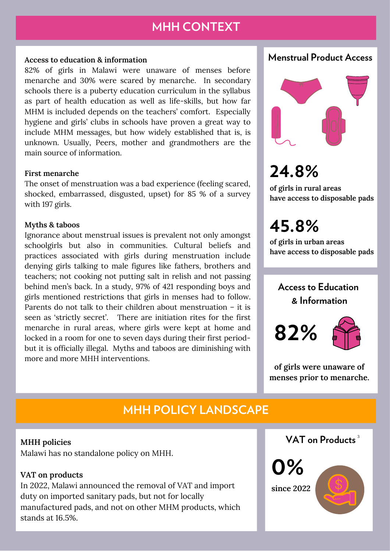# **MHH CONTEXT**

## **Access to education & information**

82% of girls in Malawi were unaware of menses before menarche and 30% were scared by menarche. In secondary schools there is a puberty education curriculum in the syllabus as part of health education as well as life-skills, but how far MHM is included depends on the teachers' comfort. Especially hygiene and girls' clubs in schools have proven a great way to include MHM messages, but how widely established that is, is unknown. Usually, Peers, mother and grandmothers are the main source of information.

## **First menarche**

The onset of menstruation was a bad experience (feeling scared, shocked, embarrassed, disgusted, upset) for 85 % of a survey with 197 girls.

#### **Myths & taboos**

Ignorance about menstrual issues is prevalent not only amongst schoolgirls but also in communities. Cultural beliefs and practices associated with girls during menstruation include denying girls talking to male figures like fathers, brothers and teachers; not cooking not putting salt in relish and not passing behind men's back. In a study, 97% of 421 responding boys and girls mentioned restrictions that girls in menses had to follow. Parents do not talk to their children about menstruation – it is seen as 'strictly secret'. There are initiation rites for the first menarche in rural areas, where girls were kept at home and locked in a room for one to seven days during their first periodbut it is officially illegal. Myths and taboos are diminishing with more and more MHH interventions.

**Menstrual Product Access**



# **24.8%**

**of girls in rural areas have access to disposable pads**

**45.8%**

**of girls in urban areas have access to disposable pads**

# **Access to Education & Information**





**of girls were unaware of menses prior to menarche.**

# **MHH POLICY LANDSCAPE**

Malawi has no standalone policy on MHH.

### **VAT on products**

In 2022, Malawi announced the removal of VAT and import duty on imported sanitary pads, but not for locally manufactured pads, and not on other MHM products, which stands at 16.5%.

**MHH policies VAT on Products** 3



# **0% since 2022**